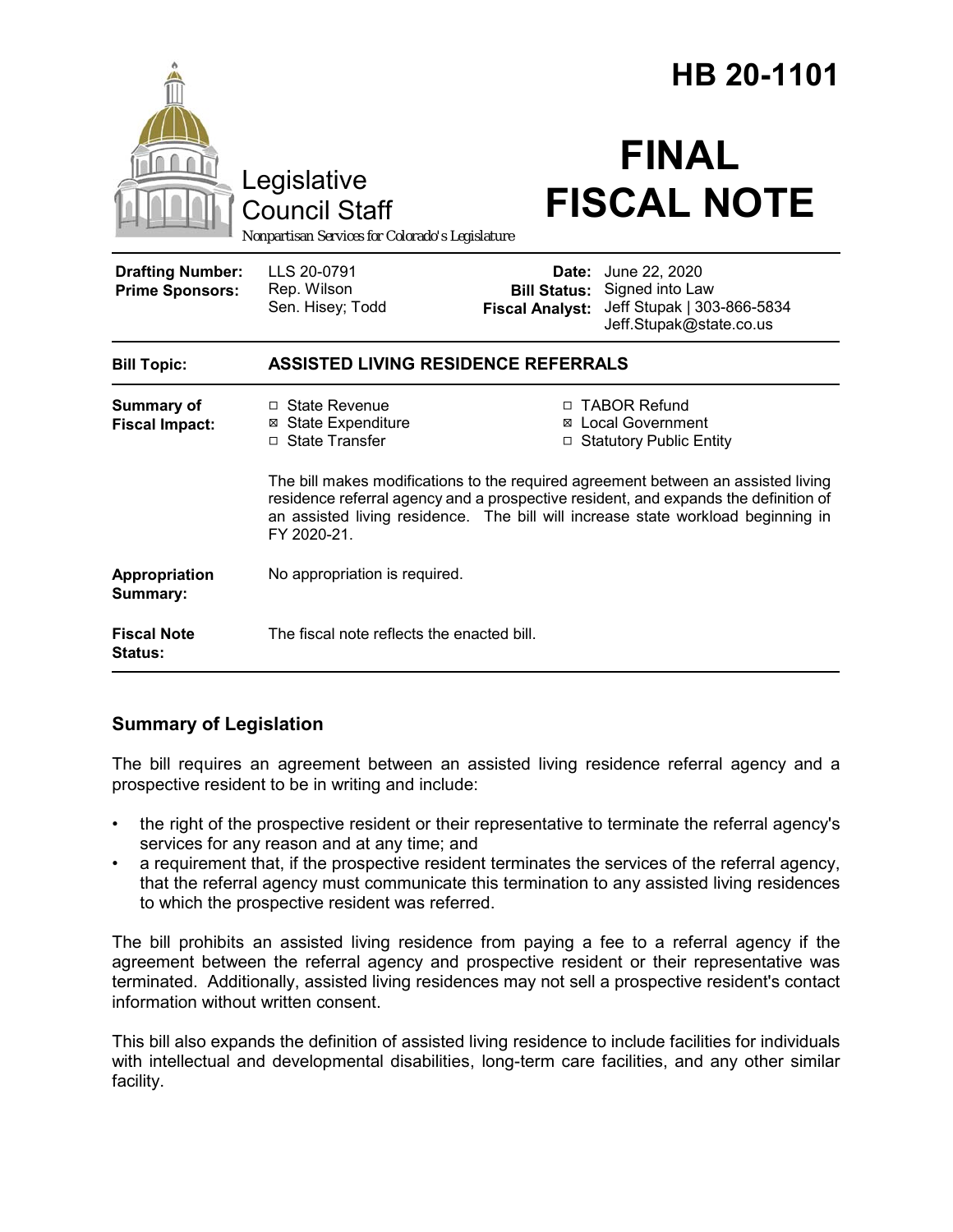|                                                   |                                                                                                                                                                                                                                                                             |                                                        | HB 20-1101                                                                                |  |
|---------------------------------------------------|-----------------------------------------------------------------------------------------------------------------------------------------------------------------------------------------------------------------------------------------------------------------------------|--------------------------------------------------------|-------------------------------------------------------------------------------------------|--|
|                                                   | Legislative<br><b>Council Staff</b><br>Nonpartisan Services for Colorado's Legislature                                                                                                                                                                                      |                                                        | <b>FINAL</b><br><b>FISCAL NOTE</b>                                                        |  |
| <b>Drafting Number:</b><br><b>Prime Sponsors:</b> | LLS 20-0791<br>Rep. Wilson<br>Sen. Hisey; Todd                                                                                                                                                                                                                              | Date:<br><b>Bill Status:</b><br><b>Fiscal Analyst:</b> | June 22, 2020<br>Signed into Law<br>Jeff Stupak   303-866-5834<br>Jeff.Stupak@state.co.us |  |
| <b>Bill Topic:</b>                                | <b>ASSISTED LIVING RESIDENCE REFERRALS</b>                                                                                                                                                                                                                                  |                                                        |                                                                                           |  |
| <b>Summary of</b><br><b>Fiscal Impact:</b>        | □ State Revenue<br><b>⊠</b> State Expenditure<br>□ State Transfer                                                                                                                                                                                                           |                                                        | □ TABOR Refund<br>⊠ Local Government<br>□ Statutory Public Entity                         |  |
|                                                   | The bill makes modifications to the required agreement between an assisted living<br>residence referral agency and a prospective resident, and expands the definition of<br>an assisted living residence. The bill will increase state workload beginning in<br>FY 2020-21. |                                                        |                                                                                           |  |
| Appropriation<br>Summary:                         | No appropriation is required.                                                                                                                                                                                                                                               |                                                        |                                                                                           |  |
| <b>Fiscal Note</b><br><b>Status:</b>              | The fiscal note reflects the enacted bill.                                                                                                                                                                                                                                  |                                                        |                                                                                           |  |

# **Summary of Legislation**

The bill requires an agreement between an assisted living residence referral agency and a prospective resident to be in writing and include:

- the right of the prospective resident or their representative to terminate the referral agency's services for any reason and at any time; and
- a requirement that, if the prospective resident terminates the services of the referral agency, that the referral agency must communicate this termination to any assisted living residences to which the prospective resident was referred.

The bill prohibits an assisted living residence from paying a fee to a referral agency if the agreement between the referral agency and prospective resident or their representative was terminated. Additionally, assisted living residences may not sell a prospective resident's contact information without written consent.

This bill also expands the definition of assisted living residence to include facilities for individuals with intellectual and developmental disabilities, long-term care facilities, and any other similar facility.